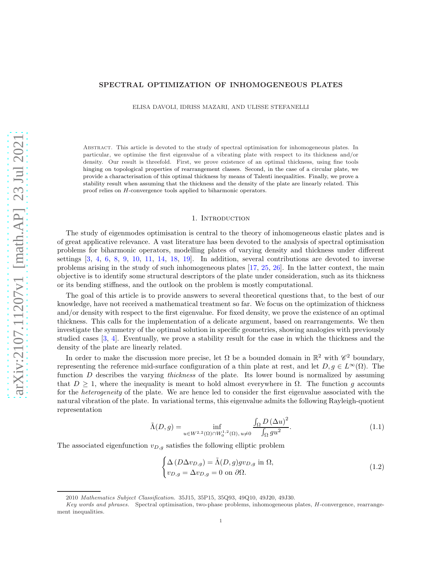### SPECTRAL OPTIMIZATION OF INHOMOGENEOUS PLATES

ELISA DAVOLI, IDRISS MAZARI, AND ULISSE STEFANELLI

Abstract. This article is devoted to the study of spectral optimisation for inhomogeneous plates. In particular, we optimise the first eigenvalue of a vibrating plate with respect to its thickness and/or density. Our result is threefold. First, we prove existence of an optimal thickness, using fine tools hinging on topological properties of rearrangement classes. Second, in the case of a circular plate, we provide a characterisation of this optimal thickness by means of Talenti inequalities. Finally, we prove a stability result when assuming that the thickness and the density of the plate are linearly related. This proof relies on H-convergence tools applied to biharmonic operators.

### 1. INTRODUCTION

The study of eigenmodes optimisation is central to the theory of inhomogeneous elastic plates and is of great applicative relevance. A vast literature has been devoted to the analysis of spectral optimisation problems for biharmonic operators, modelling plates of varying density and thickness under different settings [\[3,](#page-14-0) [4,](#page-14-1) [6,](#page-14-2) [8,](#page-14-3) [9,](#page-14-4) [10,](#page-14-5) [11,](#page-14-6) [14,](#page-14-7) [18,](#page-14-8) [19\]](#page-15-0). In addition, several contributions are devoted to inverse problems arising in the study of such inhomogeneous plates [\[17,](#page-14-9) [25,](#page-15-1) [26\]](#page-15-2). In the latter context, the main objective is to identify some structural descriptors of the plate under consideration, such as its thickness or its bending stiffness, and the outlook on the problem is mostly computational.

The goal of this article is to provide answers to several theoretical questions that, to the best of our knowledge, have not received a mathematical treatment so far. We focus on the optimization of thickness and/or density with respect to the first eigenvalue. For fixed density, we prove the existence of an optimal thickness. This calls for the implementation of a delicate argument, based on rearrangements. We then investigate the symmetry of the optimal solution in specific geometries, showing analogies with previously studied cases [\[3,](#page-14-0) [4\]](#page-14-1). Eventually, we prove a stability result for the case in which the thickness and the density of the plate are linearly related.

In order to make the discussion more precise, let  $\Omega$  be a bounded domain in  $\mathbb{R}^2$  with  $\mathscr{C}^2$  boundary, representing the reference mid-surface configuration of a thin plate at rest, and let  $D, g \in L^{\infty}(\Omega)$ . The function  $D$  describes the varying *thickness* of the plate. Its lower bound is normalized by assuming that  $D \geq 1$ , where the inequality is meant to hold almost everywhere in  $\Omega$ . The function g accounts for the *heterogeneity* of the plate. We are hence led to consider the first eigenvalue associated with the natural vibration of the plate. In variational terms, this eigenvalue admits the following Rayleigh-quotient representation

<span id="page-0-1"></span>
$$
\tilde{\Lambda}(D,g) = \inf_{u \in W^{2,2}(\Omega) \cap W_0^{1,2}(\Omega), u \neq 0} \frac{\int_{\Omega} D(\Delta u)^2}{\int_{\Omega} gu^2}.
$$
\n(1.1)

The associated eigenfunction  $v_{D,g}$  satisfies the following elliptic problem

<span id="page-0-0"></span>
$$
\begin{cases}\n\Delta \left( D \Delta v_{D,g} \right) = \tilde{\Lambda}(D, g) g v_{D,g} \text{ in } \Omega, \\
v_{D,g} = \Delta v_{D,g} = 0 \text{ on } \partial \Omega.\n\end{cases}
$$
\n(1.2)

<sup>2010</sup> Mathematics Subject Classification. 35J15, 35P15, 35Q93, 49Q10, 49J20, 49J30.

Key words and phrases. Spectral optimisation, two-phase problems, inhomogeneous plates, H-convergence, rearrangement inequalities.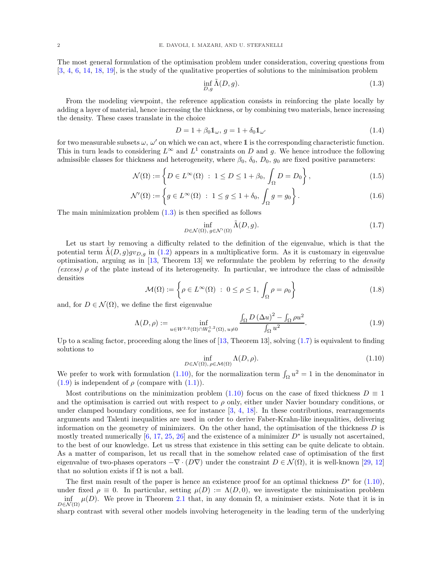The most general formulation of the optimisation problem under consideration, covering questions from [\[3,](#page-14-0) [4,](#page-14-1) [6,](#page-14-2) [14,](#page-14-7) [18,](#page-14-8) [19\]](#page-15-0), is the study of the qualitative properties of solutions to the minimisation problem

<span id="page-1-4"></span><span id="page-1-0"></span>
$$
\inf_{D,g} \tilde{\Lambda}(D,g). \tag{1.3}
$$

From the modeling viewpoint, the reference application consists in reinforcing the plate locally by adding a layer of material, hence increasing the thickness, or by combining two materials, hence increasing the density. These cases translate in the choice

$$
D = 1 + \beta_0 \mathbb{1}_{\omega}, \, g = 1 + \delta_0 \mathbb{1}_{\omega'} \tag{1.4}
$$

for two measurable subsets  $\omega$ ,  $\omega'$  on which we can act, where 1 is the corresponding characteristic function. This in turn leads to considering  $L^{\infty}$  and  $L^{1}$  constraints on D and g. We hence introduce the following admissible classes for thickness and heterogeneity, where  $\beta_0$ ,  $\delta_0$ ,  $D_0$ ,  $g_0$  are fixed positive parameters:

$$
\mathcal{N}(\Omega) := \left\{ D \in L^{\infty}(\Omega) \; : \; 1 \le D \le 1 + \beta_0, \int_{\Omega} D = D_0 \right\},\tag{1.5}
$$

$$
\mathcal{N}'(\Omega) := \left\{ g \in L^{\infty}(\Omega) : 1 \le g \le 1 + \delta_0, \int_{\Omega} g = g_0 \right\}.
$$
\n(1.6)

The main minimization problem  $(1.3)$  is then specified as follows

<span id="page-1-1"></span>
$$
\inf_{D \in \mathcal{N}(\Omega), \, g \in \mathcal{N}'(\Omega)} \tilde{\Lambda}(D, g). \tag{1.7}
$$

Let us start by removing a difficulty related to the definition of the eigenvalue, which is that the potential term  $\Lambda(D, g)gv_{D,g}$  in [\(1.2\)](#page-0-0) appears in a multiplicative form. As it is customary in eigenvalue optimisation, arguing as in  $[13,$  Theorem 13] we reformulate the problem by referring to the *density* (excess)  $\rho$  of the plate instead of its heterogeneity. In particular, we introduce the class of admissible densities

<span id="page-1-5"></span>
$$
\mathcal{M}(\Omega) := \left\{ \rho \in L^{\infty}(\Omega) \ : \ 0 \le \rho \le 1, \int_{\Omega} \rho = \rho_0 \right\}
$$
 (1.8)

and, for  $D \in \mathcal{N}(\Omega)$ , we define the first eigenvalue

<span id="page-1-3"></span>
$$
\Lambda(D,\rho) := \inf_{u \in W^{2,2}(\Omega) \cap W_0^{1,2}(\Omega), u \neq 0} \frac{\int_{\Omega} D(\Delta u)^2 - \int_{\Omega} \rho u^2}{\int_{\Omega} u^2}.
$$
\n(1.9)

Up to a scaling factor, proceeding along the lines of  $[13,$  Theorem 13, solving  $(1.7)$  is equivalent to finding solutions to

<span id="page-1-2"></span>
$$
\inf_{D \in \mathcal{N}(\Omega), \,\rho \in \mathcal{M}(\Omega)} \Lambda(D,\rho). \tag{1.10}
$$

We prefer to work with formulation [\(1.10\)](#page-1-2), for the normalization term  $\int_{\Omega} u^2 = 1$  in the denominator in  $(1.9)$  is independent of  $\rho$  (compare with  $(1.1)$ ).

Most contributions on the minimization problem  $(1.10)$  focus on the case of fixed thickness  $D \equiv 1$ and the optimisation is carried out with respect to  $\rho$  only, either under Navier boundary conditions, or under clamped boundary conditions, see for instance [\[3,](#page-14-0) [4,](#page-14-1) [18\]](#page-14-8). In these contributions, rearrangements arguments and Talenti inequalities are used in order to derive Faber-Krahn-like inequalities, delivering information on the geometry of minimizers. On the other hand, the optimisation of the thickness  $D$  is mostly treated numerically [\[6,](#page-14-2) [17,](#page-14-9) [25,](#page-15-1) [26\]](#page-15-2) and the existence of a minimizer  $D^*$  is usually not ascertained, to the best of our knowledge. Let us stress that existence in this setting can be quite delicate to obtain. As a matter of comparison, let us recall that in the somehow related case of optimisation of the first eigenvalue of two-phases operators  $-\nabla \cdot (D\nabla)$  under the constraint  $D \in \mathcal{N}(\Omega)$ , it is well-known [\[29,](#page-15-3) [12\]](#page-14-11) that no solution exists if  $\Omega$  is not a ball.

The first main result of the paper is hence an existence proof for an optimal thickness  $D^*$  for  $(1.10)$ , under fixed  $\rho \equiv 0$ . In particular, setting  $\mu(D) := \Lambda(D, 0)$ , we investigate the minimisation problem inf  $\mu(D)$ . We prove in Theorem [2.1](#page-2-0) that, in any domain  $\Omega$ , a minimiser exists. Note that it is in sharp contrast with several other models involving heterogeneity in the leading term of the underlying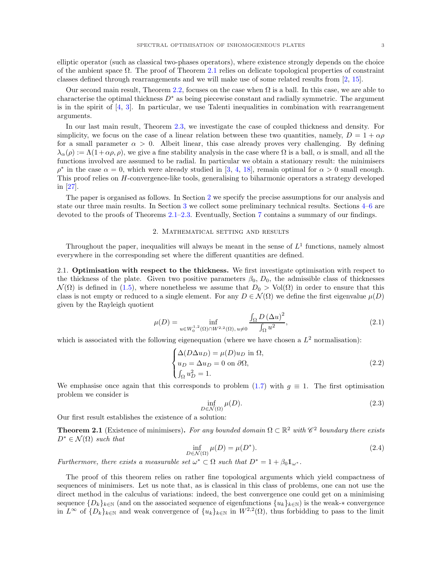elliptic operator (such as classical two-phases operators), where existence strongly depends on the choice of the ambient space  $\Omega$ . The proof of Theorem [2.1](#page-2-0) relies on delicate topological properties of constraint classes defined through rearrangements and we will make use of some related results from [\[2,](#page-14-12) [15\]](#page-14-13).

Our second main result, Theorem [2.2,](#page-3-0) focuses on the case when  $\Omega$  is a ball. In this case, we are able to characterise the optimal thickness  $D^*$  as being piecewise constant and radially symmetric. The argument is in the spirit of  $[4, 3]$  $[4, 3]$ . In particular, we use Talenti inequalities in combination with rearrangement arguments.

In our last main result, Theorem [2.3,](#page-4-0) we investigate the case of coupled thickness and density. For simplicity, we focus on the case of a linear relation between these two quantities, namely,  $D = 1 + \alpha \rho$ for a small parameter  $\alpha > 0$ . Albeit linear, this case already proves very challenging. By defining  $\lambda_{\alpha}(\rho) := \Lambda(1+\alpha\rho, \rho)$ , we give a fine stability analysis in the case where  $\Omega$  is a ball,  $\alpha$  is small, and all the functions involved are assumed to be radial. In particular we obtain a stationary result: the minimisers  $\rho^*$  in the case  $\alpha = 0$ , which were already studied in [\[3,](#page-14-0) [4,](#page-14-1) [18\]](#page-14-8), remain optimal for  $\alpha > 0$  small enough. This proof relies on H-convergence-like tools, generalising to biharmonic operators a strategy developed in [\[27\]](#page-15-4).

<span id="page-2-1"></span>The paper is organised as follows. In Section [2](#page-2-1) we specify the precise assumptions for our analysis and state our three main results. In Section [3](#page-4-1) we collect some preliminary technical results. Sections [4](#page-6-0)[–6](#page-11-0) are devoted to the proofs of Theorems [2.1–](#page-2-0)[2.3.](#page-4-0) Eventually, Section [7](#page-14-14) contains a summary of our findings.

### 2. Mathematical setting and results

Throughout the paper, inequalities will always be meant in the sense of  $L<sup>1</sup>$  functions, namely almost everywhere in the corresponding set where the different quantities are defined.

2.1. Optimisation with respect to the thickness. We first investigate optimisation with respect to the thickness of the plate. Given two positive parameters  $\beta_0$ ,  $D_0$ , the admissible class of thicknesses  $\mathcal{N}(\Omega)$  is defined in [\(1.5\)](#page-1-4), where nonetheless we assume that  $D_0 > Vol(\Omega)$  in order to ensure that this class is not empty or reduced to a single element. For any  $D \in \mathcal{N}(\Omega)$  we define the first eigenvalue  $\mu(D)$ given by the Rayleigh quotient

<span id="page-2-2"></span>
$$
\mu(D) = \inf_{u \in W_0^{1,2}(\Omega) \cap W^{2,2}(\Omega), u \neq 0} \frac{\int_{\Omega} D(\Delta u)^2}{\int_{\Omega} u^2},
$$
\n(2.1)

which is associated with the following eigenequation (where we have chosen a  $L^2$  normalisation):

<span id="page-2-3"></span>
$$
\begin{cases}\n\Delta(D\Delta u_D) = \mu(D)u_D \text{ in } \Omega, \\
u_D = \Delta u_D = 0 \text{ on } \partial\Omega, \\
\int_{\Omega} u_D^2 = 1.\n\end{cases}
$$
\n(2.2)

We emphasise once again that this corresponds to problem [\(1.7\)](#page-1-1) with  $q \equiv 1$ . The first optimisation problem we consider is

<span id="page-2-4"></span>
$$
\inf_{D \in \mathcal{N}(\Omega)} \mu(D). \tag{2.3}
$$

Our first result establishes the existence of a solution:

<span id="page-2-0"></span>**Theorem 2.1** (Existence of minimisers). For any bounded domain  $\Omega \subset \mathbb{R}^2$  with  $\mathscr{C}^2$  boundary there exists  $D^* \in \mathcal{N}(\Omega)$  such that

$$
\inf_{D \in \mathcal{N}(\Omega)} \mu(D) = \mu(D^*). \tag{2.4}
$$

Furthermore, there exists a measurable set  $\omega^* \subset \Omega$  such that  $D^* = 1 + \beta_0 \mathbb{1}_{\omega^*}$ .

The proof of this theorem relies on rather fine topological arguments which yield compactness of sequences of minimisers. Let us note that, as is classical in this class of problems, one can not use the direct method in the calculus of variations: indeed, the best convergence one could get on a minimising sequence  ${D_k}_{k\in\mathbb{N}}$  (and on the associated sequence of eigenfunctions  ${u_k}_{k\in\mathbb{N}}$ ) is the weak-\* convergence in  $L^{\infty}$  of  $\{D_k\}_{k\in\mathbb{N}}$  and weak convergence of  $\{u_k\}_{k\in\mathbb{N}}$  in  $W^{2,2}(\Omega)$ , thus forbidding to pass to the limit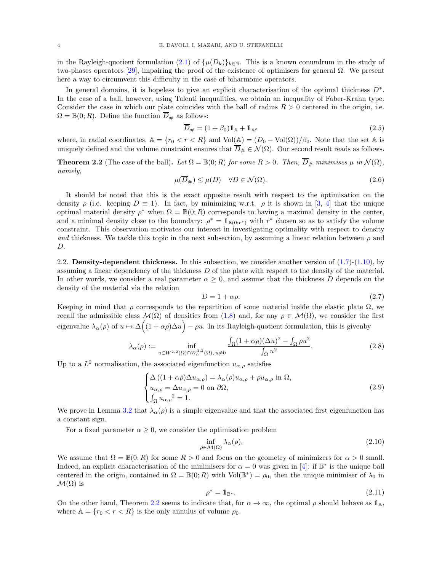in the Rayleigh-quotient formulation [\(2.1\)](#page-2-2) of  $\{\mu(D_k)\}_{k\in\mathbb{N}}$ . This is a known conundrum in the study of two-phases operators [\[29\]](#page-15-3), impairing the proof of the existence of optimisers for general Ω. We present here a way to circumvent this difficulty in the case of biharmonic operators.

In general domains, it is hopeless to give an explicit characterisation of the optimal thickness  $D^*$ . In the case of a ball, however, using Talenti inequalities, we obtain an inequality of Faber-Krahn type. Consider the case in which our plate coincides with the ball of radius  $R > 0$  centered in the origin, i.e.  $\Omega = \mathbb{B}(0;R)$ . Define the function  $D_{\#}$  as follows:

$$
\overline{D}_{\#} = (1 + \beta_0) \mathbb{1}_{\mathbb{A}} + \mathbb{1}_{\mathbb{A}^c} \tag{2.5}
$$

where, in radial coordinates,  $A = \{r_0 < r < R\}$  and  $Vol(A) = (D_0 - Vol(\Omega))/\beta_0$ . Note that the set A is uniquely defined and the volume constraint ensures that  $\overline{D}_{\#} \in \mathcal{N}(\Omega)$ . Our second result reads as follows.

<span id="page-3-0"></span>**Theorem 2.2** (The case of the ball). Let  $\Omega = \mathbb{B}(0;R)$  for some  $R > 0$ . Then,  $\overline{D}_{\#}$  minimises  $\mu$  in  $\mathcal{N}(\Omega)$ , namely,

$$
\mu(\overline{D}_{\#}) \le \mu(D) \quad \forall D \in \mathcal{N}(\Omega). \tag{2.6}
$$

It should be noted that this is the exact opposite result with respect to the optimisation on the density  $\rho$  (i.e. keeping  $D \equiv 1$ ). In fact, by minimizing w.r.t.  $\rho$  it is shown in [\[3,](#page-14-0) [4\]](#page-14-1) that the unique optimal material density  $\rho^*$  when  $\Omega = \mathbb{B}(0;R)$  corresponds to having a maximal density in the center, and a minimal density close to the boundary:  $\rho^* = 1_{\mathbb{B}(0;r^*)}$  with  $r^*$  chosen so as to satisfy the volume constraint. This observation motivates our interest in investigating optimality with respect to density and thickness. We tackle this topic in the next subsection, by assuming a linear relation between  $\rho$  and D.

2.2. **Density-dependent thickness.** In this subsection, we consider another version of  $(1.7)-(1.10)$  $(1.7)-(1.10)$ , by assuming a linear dependency of the thickness  $D$  of the plate with respect to the density of the material. In other words, we consider a real parameter  $\alpha \geq 0$ , and assume that the thickness D depends on the density of the material via the relation

$$
D = 1 + \alpha \rho. \tag{2.7}
$$

Keeping in mind that  $\rho$  corresponds to the repartition of some material inside the elastic plate  $\Omega$ , we recall the admissible class  $\mathcal{M}(\Omega)$  of densities from [\(1.8\)](#page-1-5) and, for any  $\rho \in \mathcal{M}(\Omega)$ , we consider the first eigenvalue  $\lambda_{\alpha}(\rho)$  of  $u \mapsto \Delta((1+\alpha \rho) \Delta u) - \rho u$ . In its Rayleigh-quotient formulation, this is given by

<span id="page-3-1"></span>
$$
\lambda_{\alpha}(\rho) := \inf_{u \in W^{2,2}(\Omega) \cap W_0^{1,2}(\Omega), u \neq 0} \frac{\int_{\Omega} (1 + \alpha \rho)(\Delta u)^2 - \int_{\Omega} \rho u^2}{\int_{\Omega} u^2}.
$$
\n(2.8)

Up to a  $L^2$  normalisation, the associated eigenfunction  $u_{\alpha,\rho}$  satisfies

<span id="page-3-2"></span>
$$
\begin{cases}\n\Delta\left((1+\alpha\rho)\Delta u_{\alpha,\rho}\right) = \lambda_{\alpha}(\rho)u_{\alpha,\rho} + \rho u_{\alpha,\rho} \text{ in } \Omega, \\
u_{\alpha,\rho} = \Delta u_{\alpha,\rho} = 0 \text{ on } \partial\Omega, \\
\int_{\Omega} u_{\alpha,\rho}^{2} = 1.\n\end{cases}
$$
\n(2.9)

We prove in Lemma 3.2 that  $\lambda_{\alpha}(\rho)$  is a simple eigenvalue and that the associated first eigenfunction has a constant sign.

For a fixed parameter  $\alpha \geq 0$ , we consider the optimisation problem

$$
\inf_{\rho \in \mathcal{M}(\Omega)} \lambda_{\alpha}(\rho). \tag{2.10}
$$

We assume that  $\Omega = \mathbb{B}(0;R)$  for some  $R > 0$  and focus on the geometry of minimizers for  $\alpha > 0$  small. Indeed, an explicit characterisation of the minimisers for  $\alpha = 0$  was given in [\[4\]](#page-14-1): if  $\mathbb{B}^*$  is the unique ball centered in the origin, contained in  $\Omega = \mathbb{B}(0;R)$  with  $Vol(\mathbb{B}^*) = \rho_0$ , then the unique minimiser of  $\lambda_0$  in  $\mathcal{M}(\Omega)$  is

$$
\rho^* = \mathbb{1}_{\mathbb{B}^*}. \tag{2.11}
$$

On the other hand, Theorem [2.2](#page-3-0) seems to indicate that, for  $\alpha \to \infty$ , the optimal  $\rho$  should behave as  $\mathbb{1}_{\mathbb{A}}$ , where  $\mathbb{A} = \{r_0 < r < R\}$  is the only annulus of volume  $\rho_0$ .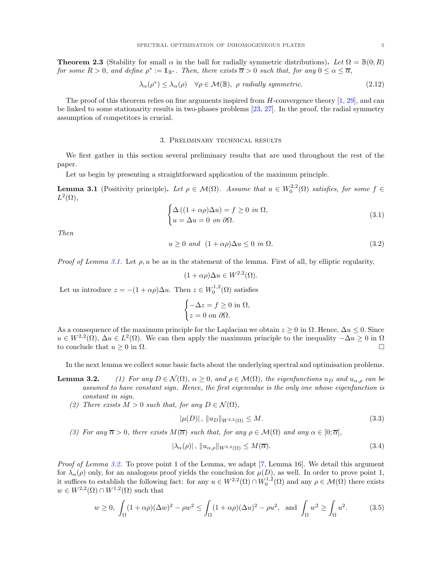<span id="page-4-0"></span>**Theorem 2.3** (Stability for small  $\alpha$  in the ball for radially symmetric distributions). Let  $\Omega = \mathbb{B}(0;R)$ for some  $R > 0$ , and define  $\rho^* := \mathbb{1}_{\mathbb{B}^*}$ . Then, there exists  $\overline{\alpha} > 0$  such that, for any  $0 \leq \alpha \leq \overline{\alpha}$ ,

$$
\lambda_{\alpha}(\rho^*) \le \lambda_{\alpha}(\rho) \quad \forall \rho \in \mathcal{M}(\mathbb{B}), \ \rho \ \text{radially symmetric.} \tag{2.12}
$$

The proof of this theorem relies on fine arguments inspired from  $H$ -convergence theory [\[1,](#page-14-15) [29\]](#page-15-3), and can be linked to some stationarity results in two-phases problems [\[23,](#page-15-5) [27\]](#page-15-4). In the proof, the radial symmetry assumption of competitors is crucial.

### 3. Preliminary technical results

<span id="page-4-1"></span>We first gather in this section several preliminary results that are used throughout the rest of the paper.

Let us begin by presenting a straightforward application of the maximum principle.

<span id="page-4-2"></span>**Lemma 3.1** (Positivity principle). Let  $\rho \in \mathcal{M}(\Omega)$ . Assume that  $u \in W_0^{2,2}(\Omega)$  satisfies, for some  $f \in$  $L^2(\Omega)$ ,

$$
\begin{cases}\n\Delta\left((1+\alpha\rho)\Delta u\right) = f \ge 0 & \text{in } \Omega, \\
u = \Delta u = 0 & \text{on } \partial\Omega.\n\end{cases}
$$
\n(3.1)

Then

$$
u \ge 0 \text{ and } (1 + \alpha \rho) \Delta u \le 0 \text{ in } \Omega. \tag{3.2}
$$

*Proof of Lemma [3.1.](#page-4-2)* Let  $\rho, u$  be as in the statement of the lemma. First of all, by elliptic regularity,

$$
(1 + \alpha \rho) \Delta u \in W^{2,2}(\Omega).
$$

Let us introduce  $z = -(1 + \alpha \rho) \Delta u$ . Then  $z \in W_0^{1,2}(\Omega)$  satisfies

$$
\begin{cases}\n-\Delta z = f \ge 0 \text{ in } \Omega, \\
z = 0 \text{ on } \partial \Omega.\n\end{cases}
$$

As a consequence of the maximum principle for the Laplacian we obtain  $z \geq 0$  in  $\Omega$ . Hence,  $\Delta u \leq 0$ . Since  $u \in W^{2,2}(\Omega)$ ,  $\Delta u \in L^2(\Omega)$ . We can then apply the maximum principle to the inequality  $-\Delta u \geq 0$  in  $\Omega$ to conclude that  $u \geq 0$  in  $\Omega$ .

In the next lemma we collect some basic facts about the underlying spectral and optimisation problems.

- **Lemma 3.2.** (1) For any  $D \in \mathcal{N}(\Omega)$ ,  $\alpha \geq 0$ , and  $\rho \in \mathcal{M}(\Omega)$ , the eigenfunctions  $u_D$  and  $u_{\alpha,\rho}$  can be assumed to have constant sign. Hence, the first eigenvalue is the only one whose eigenfunction is constant in sign.
	- (2) There exists  $M > 0$  such that, for any  $D \in \mathcal{N}(\Omega)$ ,

$$
|\mu(D)|, \, \|u_D\|_{W^{2,2}(\Omega)} \le M. \tag{3.3}
$$

(3) For any  $\overline{\alpha} > 0$ , there exists  $M(\overline{\alpha})$  such that, for any  $\rho \in \mathcal{M}(\Omega)$  and any  $\alpha \in [0; \overline{\alpha}]$ ,

$$
|\lambda_{\alpha}(\rho)|, \|u_{\alpha,\rho}\|_{W^{2,2}(\Omega)} \le M(\overline{\alpha}).\tag{3.4}
$$

Proof of Lemma 3.2. To prove point 1 of the Lemma, we adapt [\[7,](#page-14-16) Lemma 16]. We detail this argument for  $\lambda_{\alpha}(\rho)$  only, for an analogous proof yields the conclusion for  $\mu(D)$ , as well. In order to prove point 1, it suffices to establish the following fact: for any  $u \in W^{2,2}(\Omega) \cap W_0^{1,2}(\Omega)$  and any  $\rho \in \mathcal{M}(\Omega)$  there exists  $w \in W^{2,2}(\Omega) \cap W^{1,2}(\Omega)$  such that

$$
w \ge 0, \int_{\Omega} (1 + \alpha \rho)(\Delta w)^2 - \rho w^2 \le \int_{\Omega} (1 + \alpha \rho)(\Delta u)^2 - \rho u^2, \text{ and } \int_{\Omega} w^2 \ge \int_{\Omega} u^2. \tag{3.5}
$$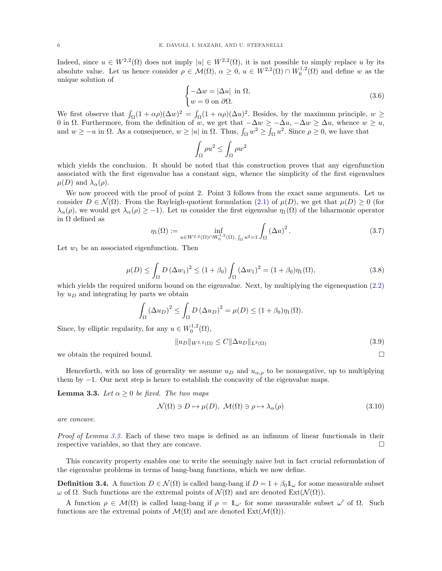Indeed, since  $u \in W^{2,2}(\Omega)$  does not imply  $|u| \in W^{2,2}(\Omega)$ , it is not possible to simply replace u by its absolute value. Let us hence consider  $\rho \in \mathcal{M}(\Omega)$ ,  $\alpha \geq 0$ ,  $u \in W^{2,2}(\Omega) \cap W_0^{1,2}(\Omega)$  and define w as the unique solution of

$$
\begin{cases}\n-\Delta w = |\Delta u| \text{ in } \Omega, \\
w = 0 \text{ on } \partial \Omega.\n\end{cases}
$$
\n(3.6)

We first observe that  $\int_{\Omega} (1 + \alpha \rho)(\Delta w)^2 = \int_{\Omega} (1 + \alpha \rho)(\Delta u)^2$ . Besides, by the maximum principle,  $w \ge$ 0 in  $\Omega$ . Furthermore, from the definition of w, we get that  $-\Delta w \ge -\Delta u$ ,  $-\Delta w \ge \Delta u$ , whence  $w \ge u$ , and  $w \ge -u$  in  $\Omega$ . As a consequence,  $w \ge |u|$  in  $\Omega$ . Thus,  $\int_{\Omega} w^2 \ge \int_{\Omega} u^2$ . Since  $\rho \ge 0$ , we have that

$$
\int_{\Omega} \rho u^2 \le \int_{\Omega} \rho w^2
$$

which yields the conclusion. It should be noted that this construction proves that any eigenfunction associated with the first eigenvalue has a constant sign, whence the simplicity of the first eigenvalues  $\mu(D)$  and  $\lambda_{\alpha}(\rho)$ .

We now proceed with the proof of point 2. Point 3 follows from the exact same arguments. Let us consider  $D \in \mathcal{N}(\Omega)$ . From the Rayleigh-quotient formulation [\(2.1\)](#page-2-2) of  $\mu(D)$ , we get that  $\mu(D) \geq 0$  (for  $\lambda_\alpha(\rho)$ , we would get  $\lambda_\alpha(\rho) \geq -1$ ). Let us consider the first eigenvalue  $\eta_1(\Omega)$  of the biharmonic operator in  $\Omega$  defined as

$$
\eta_1(\Omega) := \inf_{u \in W^{2,2}(\Omega) \cap W_0^{1,2}(\Omega), \int_{\Omega} u^2 = 1} \int_{\Omega} (\Delta u)^2.
$$
\n(3.7)

Let  $w_1$  be an associated eigenfunction. Then

$$
\mu(D) \le \int_{\Omega} D(\Delta w_1)^2 \le (1 + \beta_0) \int_{\Omega} (\Delta w_1)^2 = (1 + \beta_0) \eta_1(\Omega), \tag{3.8}
$$

which yields the required uniform bound on the eigenvalue. Next, by multiplying the eigenequation  $(2.2)$ by  $u_D$  and integrating by parts we obtain

$$
\int_{\Omega} (\Delta u_D)^2 \le \int_{\Omega} D (\Delta u_D)^2 = \mu(D) \le (1 + \beta_0) \eta_1(\Omega).
$$

Since, by elliptic regularity, for any  $u \in W_0^{1,2}(\Omega)$ ,

$$
||u_D||_{W^{2,2}(\Omega)} \le C||\Delta u_D||_{L^2(\Omega)}\tag{3.9}
$$

we obtain the required bound.

Henceforth, with no loss of generality we assume  $u_D$  and  $u_{\alpha,\rho}$  to be nonnegative, up to multiplying them by −1. Our next step is hence to establish the concavity of the eigenvalue maps.

<span id="page-5-0"></span>**Lemma 3.3.** Let  $\alpha \geq 0$  be fixed. The two maps

$$
\mathcal{N}(\Omega) \ni D \mapsto \mu(D), \ \mathcal{M}(\Omega) \ni \rho \mapsto \lambda_{\alpha}(\rho) \tag{3.10}
$$

are concave.

Proof of Lemma [3.3.](#page-5-0) Each of these two maps is defined as an infimum of linear functionals in their respective variables, so that they are concave.

This concavity property enables one to write the seemingly naive but in fact crucial reformulation of the eigenvalue problems in terms of bang-bang functions, which we now define.

**Definition 3.4.** A function  $D \in \mathcal{N}(\Omega)$  is called bang-bang if  $D = 1 + \beta_0 \mathbb{1}_{\omega}$  for some measurable subset  $ω$  of  $Ω$ . Such functions are the extremal points of  $\mathcal{N}(Ω)$  and are denoted  $\text{Ext}(\mathcal{N}(Ω))$ .

A function  $\rho \in \mathcal{M}(\Omega)$  is called bang-bang if  $\rho = \mathbb{1}_{\omega'}$  for some measurable subset  $\omega'$  of  $\Omega$ . Such functions are the extremal points of  $\mathcal{M}(\Omega)$  and are denoted  $\text{Ext}(\mathcal{M}(\Omega)).$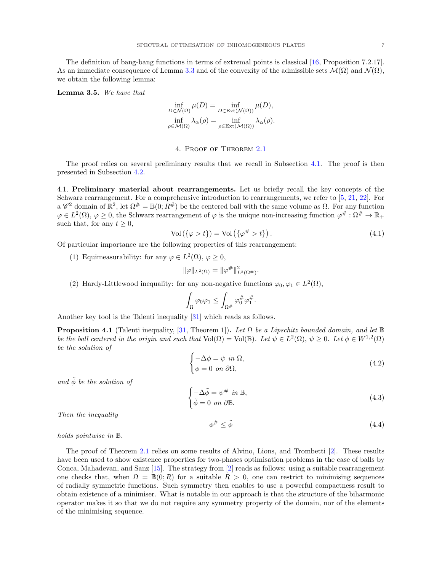The definition of bang-bang functions in terms of extremal points is classical [\[16,](#page-14-17) Proposition 7.2.17]. As an immediate consequence of Lemma [3.3](#page-5-0) and of the convexity of the admissible sets  $\mathcal{M}(\Omega)$  and  $\mathcal{N}(\Omega)$ , we obtain the following lemma:

<span id="page-6-2"></span>Lemma 3.5. We have that

$$
\inf_{D \in \mathcal{N}(\Omega)} \mu(D) = \inf_{D \in \text{Ext}(\mathcal{N}(\Omega))} \mu(D),
$$
  

$$
\inf_{\rho \in \mathcal{M}(\Omega)} \lambda_{\alpha}(\rho) = \inf_{\rho \in \text{Ext}(\mathcal{M}(\Omega))} \lambda_{\alpha}(\rho).
$$

## 4. Proof of Theorem [2.1](#page-2-0)

<span id="page-6-0"></span>The proof relies on several preliminary results that we recall in Subsection [4.1.](#page-6-1) The proof is then presented in Subsection [4.2.](#page-7-0)

<span id="page-6-1"></span>4.1. Preliminary material about rearrangements. Let us briefly recall the key concepts of the Schwarz rearrangement. For a comprehensive introduction to rearrangements, we refer to [\[5,](#page-14-18) [21,](#page-15-6) [22\]](#page-15-7). For a  $\mathscr{C}^2$  domain of  $\mathbb{R}^2$ , let  $\Omega^{\#} = \mathbb{B}(0; R^{\#})$  be the centered ball with the same volume as  $\Omega$ . For any function  $\varphi \in L^2(\Omega), \varphi \geq 0$ , the Schwarz rearrangement of  $\varphi$  is the unique non-increasing function  $\varphi^\#:\Omega^\# \to \mathbb{R}_+$ such that, for any  $t \geq 0$ ,

$$
Vol(\{\varphi > t\}) = Vol(\{\varphi^\# > t\}).\tag{4.1}
$$

Of particular importance are the following properties of this rearrangement:

(1) Equimeasurability: for any  $\varphi \in L^2(\Omega)$ ,  $\varphi \geq 0$ ,

$$
\|\varphi\|_{L^2(\Omega)} = \|\varphi^{\#}\|_{L^2(\Omega^{\#})}^2.
$$

(2) Hardy-Littlewood inequality: for any non-negative functions  $\varphi_0, \varphi_1 \in L^2(\Omega)$ ,

$$
\int_{\Omega}\varphi_0\varphi_1\leq \int_{\Omega^\#}\varphi_0^\#\varphi_1^\#
$$

.

Another key tool is the Talenti inequality [\[31\]](#page-15-8) which reads as follows.

<span id="page-6-3"></span>**Proposition 4.1** (Talenti inequality, [\[31,](#page-15-8) Theorem 1]). Let  $\Omega$  be a Lipschitz bounded domain, and let  $\mathbb{B}$ be the ball centered in the origin and such that  $Vol(\Omega) = Vol(\mathbb{B})$ . Let  $\psi \in L^2(\Omega)$ ,  $\psi \geq 0$ . Let  $\phi \in W^{1,2}(\Omega)$ be the solution of

$$
\begin{cases}\n-\Delta \phi = \psi \text{ in } \Omega, \\
\phi = 0 \text{ on } \partial \Omega,\n\end{cases}
$$
\n(4.2)

and  $\tilde{\phi}$  be the solution of

$$
\begin{cases}\n-\Delta \tilde{\phi} = \psi^{\#} & \text{in } \mathbb{B}, \\
\tilde{\phi} = 0 & \text{on } \partial \mathbb{B}.\n\end{cases}
$$
\n(4.3)

Then the inequality

$$
\phi^\# \le \tilde{\phi} \tag{4.4}
$$

holds pointwise in B.

The proof of Theorem [2.1](#page-2-0) relies on some results of Alvino, Lions, and Trombetti [\[2\]](#page-14-12). These results have been used to show existence properties for two-phases optimisation problems in the case of balls by Conca, Mahadevan, and Sanz [\[15\]](#page-14-13). The strategy from [\[2\]](#page-14-12) reads as follows: using a suitable rearrangement one checks that, when  $\Omega = \mathbb{B}(0;R)$  for a suitable  $R > 0$ , one can restrict to minimising sequences of radially symmetric functions. Such symmetry then enables to use a powerful compactness result to obtain existence of a minimiser. What is notable in our approach is that the structure of the biharmonic operator makes it so that we do not require any symmetry property of the domain, nor of the elements of the minimising sequence.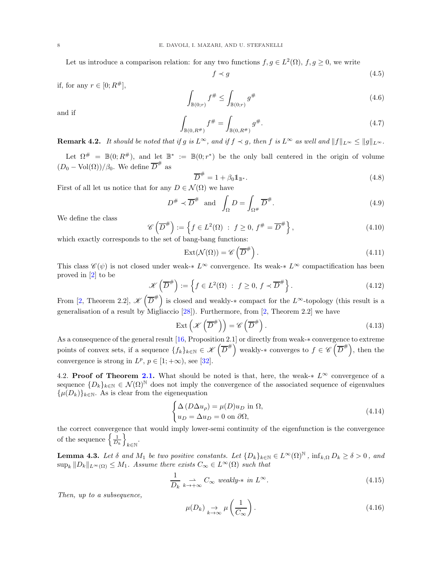Let us introduce a comparison relation: for any two functions  $f, g \in L^2(\Omega)$ ,  $f, g \geq 0$ , we write

$$
f \prec g \tag{4.5}
$$

if, for any  $r \in [0; R^{\#}],$ 

$$
\int_{\mathbb{B}(0;r)} f^{\#} \le \int_{\mathbb{B}(0;r)} g^{\#} \tag{4.6}
$$

and if

$$
\int_{\mathbb{B}(0,R^{\#})} f^{\#} = \int_{\mathbb{B}(0,R^{\#})} g^{\#}.
$$
\n(4.7)

**Remark 4.2.** It should be noted that if g is  $L^{\infty}$ , and if  $f \prec g$ , then f is  $L^{\infty}$  as well and  $||f||_{L^{\infty}} \leq ||g||_{L^{\infty}}$ .

Let  $\Omega^{\#} = \mathbb{B}(0; R^{\#})$ , and let  $\mathbb{B}^{*} := \mathbb{B}(0; r^{*})$  be the only ball centered in the origin of volume  $(D_0 - \text{Vol}(\Omega))/\beta_0$ . We define  $\overline{D}^{\#}$  as

$$
\overline{D}^{\#} = 1 + \beta_0 \mathbb{1}_{\mathbb{B}^*}.
$$
\n
$$
\Delta(\Omega) = 1
$$
\n(4.8)

First of all let us notice that for any  $D \in \mathcal{N}(\Omega)$  we have

$$
D^{\#} \prec \overline{D}^{\#} \text{ and } \int_{\Omega} D = \int_{\Omega^{\#}} \overline{D}^{\#}.
$$
 (4.9)

We define the class

$$
\mathscr{C}\left(\overline{D}^{\#}\right) := \left\{f \in L^{2}(\Omega) : f \ge 0, f^{\#} = \overline{D}^{\#}\right\},\tag{4.10}
$$

which exactly corresponds to the set of bang-bang functions:

$$
Ext(\mathcal{N}(\Omega)) = \mathscr{C}\left(\overline{D}^{\#}\right). \tag{4.11}
$$

This class  $\mathscr{C}(\psi)$  is not closed under weak- $* L^{\infty}$  convergence. Its weak- $* L^{\infty}$  compactification has been proved in [\[2\]](#page-14-12) to be

$$
\mathcal{K}\left(\overline{D}^{\#}\right) := \left\{f \in L^{2}(\Omega) : f \ge 0, f \prec \overline{D}^{\#}\right\}.
$$
\n(4.12)

From [\[2,](#page-14-12) Theorem 2.2],  $\mathscr{K}(\overline{D}^*)$  is closed and weakly- $*$  compact for the L<sup>∞</sup>-topology (this result is a generalisation of a result by Migliaccio [\[28\]](#page-15-9)). Furthermore, from [\[2,](#page-14-12) Theorem 2.2] we have

$$
Ext\left(\mathcal{K}\left(\overline{D}^{\#}\right)\right) = \mathcal{C}\left(\overline{D}^{\#}\right). \tag{4.13}
$$

As a consequence of the general result [\[16,](#page-14-17) Proposition 2.1] or directly from weak-∗ convergence to extreme points of convex sets, if a sequence  $\{f_k\}_{k\in\mathbb{N}}\in\mathscr{K}(\overline{D}^{\#})$  weakly- $*$  converges to  $f\in\mathscr{C}(\overline{D}^{\#})$ , then the convergence is strong in  $L^p$ ,  $p \in [1; +\infty)$ , see [\[32\]](#page-15-10).

<span id="page-7-0"></span>4.2. Proof of Theorem [2.1.](#page-2-0) What should be noted is that, here, the weak- $* L^{\infty}$  convergence of a sequence  $\{D_k\}_{k\in\mathbb{N}}\in\mathcal{N}(\Omega)^{\mathbb{N}}$  does not imply the convergence of the associated sequence of eigenvalues  $\{\mu(D_k)\}_{k\in\mathbb{N}}$ . As is clear from the eigenequation

$$
\begin{cases}\n\Delta \left( D \Delta u_{\rho} \right) = \mu(D) u_D \text{ in } \Omega, \\
u_D = \Delta u_D = 0 \text{ on } \partial \Omega,\n\end{cases}
$$
\n(4.14)

the correct convergence that would imply lower-semi continuity of the eigenfunction is the convergence of the sequence  $\left\{\frac{1}{D_k}\right\}$ k∈N .

<span id="page-7-1"></span>**Lemma 4.3.** Let  $\delta$  and  $M_1$  be two positive constants. Let  $\{D_k\}_{k\in\mathbb{N}} \in L^\infty(\Omega)^{\mathbb{N}}$ ,  $\inf_{k,\Omega} D_k \geq \delta > 0$ , and  $\sup_k ||D_k||_{L^{\infty}(\Omega)} \leq M_1$ . Assume there exists  $C_{\infty} \in L^{\infty}(\Omega)$  such that

$$
\frac{1}{D_k} \underset{k \to +\infty}{\to} C_{\infty} \ weakly-* \ in \ L^{\infty}.
$$
\n(4.15)

Then, up to a subsequence,

$$
\mu(D_k) \underset{k \to \infty}{\to} \mu\left(\frac{1}{C_{\infty}}\right). \tag{4.16}
$$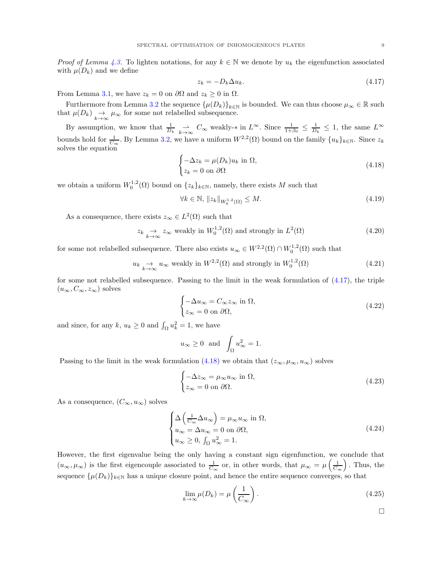*Proof of Lemma [4.3.](#page-7-1)* To lighten notations, for any  $k \in \mathbb{N}$  we denote by  $u_k$  the eigenfunction associated with  $\mu(D_k)$  and we define

<span id="page-8-0"></span>
$$
z_k = -D_k \Delta u_k. \tag{4.17}
$$

From Lemma [3.1,](#page-4-2) we have  $z_k = 0$  on  $\partial\Omega$  and  $z_k \geq 0$  in  $\Omega$ .

Furthermore from Lemma 3.2 the sequence  $\{\mu(D_k)\}_{k\in\mathbb{N}}$  is bounded. We can thus choose  $\mu_{\infty}\in\mathbb{R}$  such that  $\mu(D_k) \underset{k \to \infty}{\to} \mu_{\infty}$  for some not relabelled subsequence.

By assumption, we know that  $\frac{1}{D_k} \underset{k \to \infty}{\to} C_\infty$  weakly- $*$  in  $L^\infty$ . Since  $\frac{1}{1+\beta_0} \leq \frac{1}{D_k} \leq 1$ , the same  $L^\infty$ bounds hold for  $\frac{1}{C_{\infty}}$ . By Lemma 3.2, we have a uniform  $W^{2,2}(\Omega)$  bound on the family  $\{u_k\}_{k\in\mathbb{N}}$ . Since  $z_k$ solves the equation

<span id="page-8-1"></span>
$$
\begin{cases}\n-\Delta z_k = \mu(D_k) u_k \text{ in } \Omega, \\
z_k = 0 \text{ on } \partial\Omega\n\end{cases}
$$
\n(4.18)

we obtain a uniform  $W_0^{1,2}(\Omega)$  bound on  $\{z_k\}_{k\in\mathbb{N}}$ , namely, there exists M such that

$$
\forall k \in \mathbb{N}, \ \|z_k\|_{W_0^{1,2}(\Omega)} \le M. \tag{4.19}
$$

As a consequence, there exists  $z_{\infty} \in L^2(\Omega)$  such that

$$
z_k \underset{k \to \infty}{\to} z_{\infty} \text{ weakly in } W_0^{1,2}(\Omega) \text{ and strongly in } L^2(\Omega) \tag{4.20}
$$

for some not relabelled subsequence. There also exists  $u_{\infty} \in W^{2,2}(\Omega) \cap W_0^{1,2}(\Omega)$  such that

$$
u_k \underset{k \to \infty}{\to} u_\infty
$$
 weakly in  $W^{2,2}(\Omega)$  and strongly in  $W_0^{1,2}(\Omega)$  (4.21)

for some not relabelled subsequence. Passing to the limit in the weak formulation of [\(4.17\)](#page-8-0), the triple  $(u_{\infty}, C_{\infty}, z_{\infty})$  solves

$$
\begin{cases}\n-\Delta u_{\infty} = C_{\infty} z_{\infty} \text{ in } \Omega, \\
z_{\infty} = 0 \text{ on } \partial \Omega,\n\end{cases}
$$
\n(4.22)

and since, for any  $k, u_k \ge 0$  and  $\int_{\Omega} u_k^2 = 1$ , we have

$$
u_{\infty} \ge 0
$$
 and  $\int_{\Omega} u_{\infty}^2 = 1$ .

Passing to the limit in the weak formulation [\(4.18\)](#page-8-1) we obtain that  $(z_{\infty}, \mu_{\infty}, u_{\infty})$  solves

$$
\begin{cases}\n-\Delta z_{\infty} = \mu_{\infty} u_{\infty} \text{ in } \Omega, \\
z_{\infty} = 0 \text{ on } \partial \Omega.\n\end{cases}
$$
\n(4.23)

As a consequence,  $(C_{\infty}, u_{\infty})$  solves

$$
\begin{cases}\n\Delta \left( \frac{1}{C_{\infty}} \Delta u_{\infty} \right) = \mu_{\infty} u_{\infty} \text{ in } \Omega, \\
u_{\infty} = \Delta u_{\infty} = 0 \text{ on } \partial \Omega, \\
u_{\infty} \ge 0, \int_{\Omega} u_{\infty}^2 = 1.\n\end{cases}
$$
\n(4.24)

However, the first eigenvalue being the only having a constant sign eigenfunction, we conclude that  $(u_{\infty}, \mu_{\infty})$  is the first eigencouple associated to  $\frac{1}{C_{\infty}}$  or, in other words, that  $\mu_{\infty} = \mu\left(\frac{1}{C_{\infty}}\right)$ . Thus, the sequence  $\{\mu(D_k)\}_{k\in\mathbb{N}}$  has a unique closure point, and hence the entire sequence converges, so that

$$
\lim_{k \to \infty} \mu(D_k) = \mu\left(\frac{1}{C_{\infty}}\right). \tag{4.25}
$$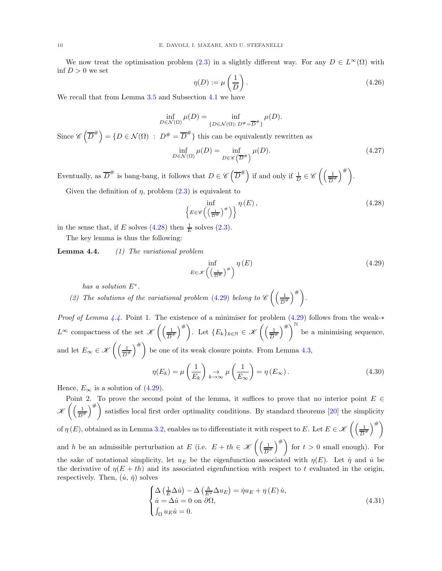We now treat the optimisation problem [\(2.3\)](#page-2-4) in a slightly different way. For any  $D \in L^{\infty}(\Omega)$  with  $\inf D > 0$  we set

$$
\eta(D) := \mu\left(\frac{1}{D}\right). \tag{4.26}
$$

We recall that from Lemma [3.5](#page-6-2) and Subsection [4.1](#page-6-1) we have

$$
\inf_{D \in \mathcal{N}(\Omega)} \mu(D) = \inf_{\{D \in \mathcal{N}(\Omega) : D^{\#} = \overline{D}^{\#}\}} \mu(D).
$$

Since  $\mathscr{C}\left(\overline{D}^{\#}\right) = \{D \in \mathcal{N}(\Omega) \; : \; D^{\#} = \overline{D}^{\#}\}\$  this can be equivalently rewritten as

$$
\inf_{D \in \mathcal{N}(\Omega)} \mu(D) = \inf_{D \in \mathscr{C}(\overline{D}^*)} \mu(D). \tag{4.27}
$$

Eventually, as  $\overline{D}^{\#}$  is bang-bang, it follows that  $D \in \mathscr{C}(\overline{D}^{\#})$  if and only if  $\frac{1}{D} \in \mathscr{C}((\frac{1}{\overline{D}^{\#}})$  $\frac{1}{D^{\#}}\bigg)^{\#}\bigg).$ 

Given the definition of  $\eta$ , problem  $(2.3)$  is equivalent to

<span id="page-9-0"></span>
$$
\left\{ E \in \mathscr{C} \left( \left( \frac{1}{D^{\#}} \right)^{\#} \right) \right\}^{\eta \left( E \right)},\tag{4.28}
$$

in the sense that, if E solves [\(4.28\)](#page-9-0) then  $\frac{1}{E}$  solves [\(2.3\)](#page-2-4).

The key lemma is thus the following:

Lemma 4.4. (1) The variational problem

<span id="page-9-1"></span>
$$
\inf_{E \in \mathcal{K} \left( \left( \frac{1}{\overline{D}^{\#}} \right)^{\#} \right)} \eta \left( E \right) \tag{4.29}
$$

has a solution E<sup>∗</sup> .

(2) The solutions of the variational problem [\(4.29\)](#page-9-1) belong to  $\mathscr{C}\left(\left(\frac{1}{\sqrt{2}}\right)\right)$  $\frac{1}{D^{\#}}\bigg)^{\#}\bigg).$ 

*Proof of Lemma 4.4.* Point 1. The existence of a minimiser for problem  $(4.29)$  follows from the weak-\*  $L^{\infty}$  compactness of the set  $\mathscr{K}\left(\left(\frac{1}{\overline{R}}\right)\right)$  $\left(\frac{1}{D^{\#}}\right)^{\#}$ . Let  $\{E_k\}_{k\in\mathbb{N}}\in\mathscr{K}\left(\left(\frac{1}{D^{\#}}\right)^{\#}\right)$  $\left(\frac{1}{D^{\#}}\right)^{\#}$  be a minimising sequence, and let  $E_{\infty} \in \mathscr{K}\left(\left(\frac{1}{\overline{D}}\right)\right)$  $\left(\frac{1}{D^*}\right)^{\#}$  be one of its weak closure points. From Lemma [4.3,](#page-7-1)

$$
\eta(E_k) = \mu\left(\frac{1}{E_k}\right) \underset{k \to \infty}{\to} \mu\left(\frac{1}{E_\infty}\right) = \eta(E_\infty). \tag{4.30}
$$

Hence,  $E_{\infty}$  is a solution of [\(4.29\)](#page-9-1).

Point 2. To prove the second point of the lemma, it suffices to prove that no interior point  $E \in$  $\mathscr{K}\left(\left(\frac{1}{\overline{n}}\right)\right)$  $\frac{1}{D^{\#}}\Big)^{\#}$  satisfies local first order optimality conditions. By standard theorems [\[20\]](#page-15-11) the simplicity of  $\eta(E)$ , obtained as in Lemma 3.2, enables us to differentiate it with respect to E. Let  $E \in \mathscr{K}\left(\left(\frac{1}{\sqrt{2}}\right)^{1/2}\right)$  $\frac{1}{D^{\#}}\right)^{\#}$ and h be an admissible perturbation at E (i.e.  $E + th \in \mathscr{K}\left(\left(\frac{1}{\sqrt{2}}\right)\right)$  $\left(\frac{1}{D^{\#}}\right)^{\#}$  for  $t > 0$  small enough). For the sake of notational simplicity, let  $u_E$  be the eigenfunction associated with  $\eta(E)$ . Let  $\dot{\eta}$  and  $\dot{u}$  be the derivative of  $\eta(E+th)$  and its associated eigenfunction with respect to t evaluated in the origin, respectively. Then,  $(\dot{u}, \dot{\eta})$  solves

<span id="page-9-2"></span>
$$
\begin{cases}\n\Delta \left( \frac{1}{E} \Delta \dot{u} \right) - \Delta \left( \frac{h}{E^2} \Delta u_E \right) = \dot{\eta} u_E + \eta \left( E \right) \dot{u}, \\
\dot{u} = \Delta \dot{u} = 0 \text{ on } \partial \Omega, \\
\int_{\Omega} u_E \dot{u} = 0.\n\end{cases}
$$
\n(4.31)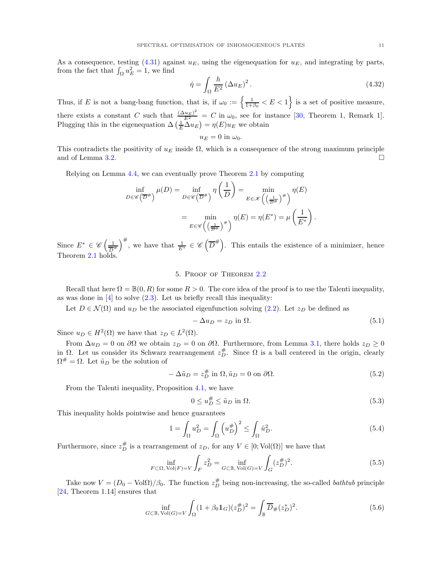As a consequence, testing [\(4.31\)](#page-9-2) against  $u_E$ , using the eigenequation for  $u_E$ , and integrating by parts, from the fact that  $\int_{\Omega} u_E^2 = 1$ , we find

$$
\dot{\eta} = \int_{\Omega} \frac{h}{E^2} \left(\Delta u_E\right)^2.
$$
\n(4.32)

Thus, if E is not a bang-bang function, that is, if  $\omega_0 := \left\{ \frac{1}{1+\beta_0} < E < 1 \right\}$  is a set of positive measure, there exists a constant C such that  $\frac{(\Delta u_E)^2}{E^2} = C$  in  $\omega_0$ , see for instance [\[30,](#page-15-12) Theorem 1, Remark 1]. Plugging this in the eigenequation  $\Delta\left(\frac{1}{E}\Delta u_E\right) = \eta(E)u_E$  we obtain

$$
u_E=0 \text{ in } \omega_0.
$$

This contradicts the positivity of  $u_E$  inside  $\Omega$ , which is a consequence of the strong maximum principle and of Lemma 3.2.

Relying on Lemma 4.4, we can eventually prove Theorem [2.1](#page-2-0) by computing

$$
\inf_{D \in \mathscr{C}} \lim_{\overline{D}} \mu(D) = \inf_{D \in \mathscr{C}} \overline{D^*} \eta\left(\frac{1}{D}\right) = \min_{E \in \mathscr{K}\left(\left(\frac{1}{\overline{D^*}}\right)^{\#}\right)} \eta(E)
$$

$$
= \min_{E \in \mathscr{C}\left(\left(\frac{1}{\overline{D^*}}\right)^{\#}\right)} \eta(E) = \eta(E^*) = \mu\left(\frac{1}{E^*}\right).
$$

Since  $E^* \in \mathscr{C}\left(\frac{1}{\overline{R}}\right)$  $\frac{1}{D^{\#}}\right)^{\#}$ , we have that  $\frac{1}{E^*} \in \mathscr{C}\left(\overline{D}^{\#}\right)$ . This entails the existence of a minimizer, hence Theorem [2.1](#page-2-0) holds.

# 5. Proof of Theorem [2.2](#page-3-0)

Recall that here  $\Omega = \mathbb{B}(0, R)$  for some  $R > 0$ . The core idea of the proof is to use the Talenti inequality, as was done in  $[4]$  to solve  $(2.3)$ . Let us briefly recall this inequality:

Let  $D \in \mathcal{N}(\Omega)$  and  $u_D$  be the associated eigenfunction solving [\(2.2\)](#page-2-3). Let  $z_D$  be defined as

$$
-\Delta u_D = z_D \text{ in } \Omega. \tag{5.1}
$$

Since  $u_D \in H^2(\Omega)$  we have that  $z_D \in L^2(\Omega)$ .

From  $\Delta u_D = 0$  on  $\partial \Omega$  we obtain  $z_D = 0$  on  $\partial \Omega$ . Furthermore, from Lemma [3.1,](#page-4-2) there holds  $z_D \ge 0$ in  $\Omega$ . Let us consider its Schwarz rearrangement  $z_D^{\#}$ . Since  $\Omega$  is a ball centered in the origin, clearly  $\Omega^{\#} = \Omega$ . Let  $\tilde{u}_D$  be the solution of

$$
-\Delta \tilde{u}_D = z_D^{\#} \text{ in } \Omega, \tilde{u}_D = 0 \text{ on } \partial \Omega.
$$
 (5.2)

From the Talenti inequality, Proposition [4.1,](#page-6-3) we have

$$
0 \le u_D^{\#} \le \tilde{u}_D \text{ in } \Omega. \tag{5.3}
$$

This inequality holds pointwise and hence guarantees

<span id="page-10-2"></span>
$$
1 = \int_{\Omega} u_D^2 = \int_{\Omega} \left( u_D^{\#} \right)^2 \le \int_{\Omega} \tilde{u}_D^2. \tag{5.4}
$$

Furthermore, since  $z_D^{\#}$  is a rearrangement of  $z_D$ , for any  $V \in [0; Vol(\Omega)]$  we have that

<span id="page-10-0"></span>
$$
\inf_{F \subset \Omega, \text{Vol}(F) = V} \int_{F} z_D^2 = \inf_{G \subset \mathbb{B}, \text{Vol}(G) = V} \int_{G} (z_D^{\#})^2.
$$
 (5.5)

Take now  $V = (D_0 - Vol\Omega)/\beta_0$ . The function  $z_D^{\#}$  being non-increasing, the so-called *bathtub* principle [\[24,](#page-15-13) Theorem 1.14] ensures that

<span id="page-10-1"></span>
$$
\inf_{G \subset \mathbb{B}, \text{Vol}(G) = V} \int_{\Omega} (1 + \beta_0 \mathbb{1}_G)(z_D^{\#})^2 = \int_{\mathbb{B}} \overline{D}_{\#}(z_D^*)^2. \tag{5.6}
$$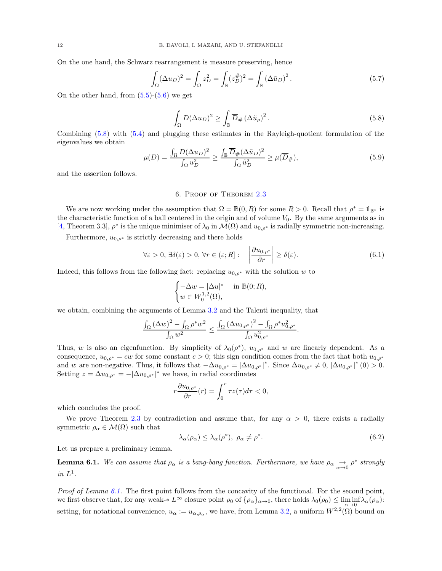On the one hand, the Schwarz rearrangement is measure preserving, hence

$$
\int_{\Omega} (\Delta u_D)^2 = \int_{\Omega} z_D^2 = \int_{\mathbb{B}} (z_D^{\#})^2 = \int_{\mathbb{B}} (\Delta \tilde{u}_D)^2.
$$
\n(5.7)

On the other hand, from  $(5.5)-(5.6)$  $(5.5)-(5.6)$  we get

<span id="page-11-1"></span>
$$
\int_{\Omega} D(\Delta u_D)^2 \ge \int_{\mathbb{B}} \overline{D}_{\#} (\Delta \tilde{u}_\rho)^2.
$$
\n(5.8)

Combining [\(5.8\)](#page-11-1) with [\(5.4\)](#page-10-2) and plugging these estimates in the Rayleigh-quotient formulation of the eigenvalues we obtain

$$
\mu(D) = \frac{\int_{\Omega} D(\Delta u_D)^2}{\int_{\Omega} u_D^2} \ge \frac{\int_{\mathbb{B}} \overline{D}_{\#}(\Delta \tilde{u}_D)^2}{\int_{\Omega} \tilde{u}_D^2} \ge \mu(\overline{D}_{\#}),\tag{5.9}
$$

<span id="page-11-0"></span>and the assertion follows.

## 6. Proof of Theorem [2.3](#page-4-0)

We are now working under the assumption that  $\Omega = \mathbb{B}(0, R)$  for some  $R > 0$ . Recall that  $\rho^* = \mathbb{1}_{\mathbb{B}^*}$  is the characteristic function of a ball centered in the origin and of volume  $V_0$ . By the same arguments as in [\[4,](#page-14-1) Theorem 3.3],  $\rho^*$  is the unique minimiser of  $\lambda_0$  in  $\mathcal{M}(\Omega)$  and  $u_{0,\rho^*}$  is radially symmetric non-increasing.

Furthermore,  $u_{0,\rho^*}$  is strictly decreasing and there holds

<span id="page-11-4"></span>
$$
\forall \varepsilon > 0, \, \exists \delta(\varepsilon) > 0, \, \forall r \in (\varepsilon; R]: \quad \left| \frac{\partial u_{0, \rho^*}}{\partial r} \right| \ge \delta(\varepsilon). \tag{6.1}
$$

Indeed, this follows from the following fact: replacing  $u_{0,\rho^*}$  with the solution w to

$$
\begin{cases}\n-\Delta w = |\Delta u|^* & \text{in } \mathbb{B}(0; R), \\
w \in W_0^{1,2}(\Omega),\n\end{cases}
$$

we obtain, combining the arguments of Lemma 3.2 and the Talenti inequality, that

$$
\frac{\int_{\Omega} (\Delta w)^2 - \int_{\Omega} \rho^* w^2}{\int_{\Omega} w^2} \le \frac{\int_{\Omega} (\Delta u_{0,\rho^*})^2 - \int_{\Omega} \rho^* u_{0,\rho^*}^2}{\int_{\Omega} u_{0,\rho^*}^2}.
$$

Thus, w is also an eigenfunction. By simplicity of  $\lambda_0(\rho^*)$ ,  $u_{0,\rho^*}$  and w are linearly dependent. As a consequence,  $u_{0,\rho^*} = cw$  for some constant  $c > 0$ ; this sign condition comes from the fact that both  $u_{0,\rho^*}$ and w are non-negative. Thus, it follows that  $-\Delta u_{0,\rho^*} = |\Delta u_{0,\rho^*}|^*$ . Since  $\Delta u_{0,\rho^*} \neq 0$ ,  $|\Delta u_{0,\rho^*}|^*$  (0)  $> 0$ . Setting  $z = \Delta u_{0,\rho^*} = -|\Delta u_{0,\rho^*}|^*$  we have, in radial coordinates

$$
r\frac{\partial u_{0,\rho^*}}{\partial r}(r) = \int_0^r \tau z(\tau) d\tau < 0,
$$

which concludes the proof.

We prove Theorem [2.3](#page-4-0) by contradiction and assume that, for any  $\alpha > 0$ , there exists a radially symmetric  $\rho_{\alpha} \in \mathcal{M}(\Omega)$  such that

<span id="page-11-3"></span>
$$
\lambda_{\alpha}(\rho_{\alpha}) \leq \lambda_{\alpha}(\rho^*), \ \rho_{\alpha} \neq \rho^*.
$$
\n(6.2)

Let us prepare a preliminary lemma.

<span id="page-11-2"></span>**Lemma 6.1.** We can assume that  $\rho_{\alpha}$  is a bang-bang function. Furthermore, we have  $\rho_{\alpha} \rightarrow 0 \rho^*$  strongly in  $L^1$ .

*Proof of Lemma [6.1.](#page-11-2)* The first point follows from the concavity of the functional. For the second point, we first observe that, for any weak-\*  $L^{\infty}$  closure point  $\rho_0$  of  $\{\rho_\alpha\}_{\alpha\to 0}$ , there holds  $\lambda_0(\rho_0) \leq \liminf_{\alpha} \lambda_\alpha(\rho_\alpha)$ :  $\alpha \rightarrow 0$ setting, for notational convenience,  $u_{\alpha} := u_{\alpha,\rho_{\alpha}}$ , we have, from Lemma 3.2, a uniform  $W^{2,2}(\Omega)$  bound on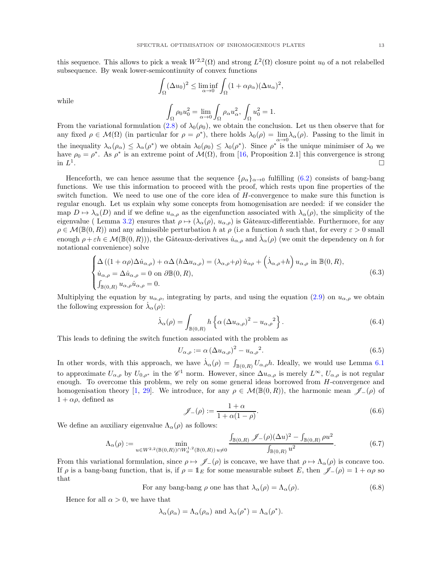this sequence. This allows to pick a weak  $W^{2,2}(\Omega)$  and strong  $L^2(\Omega)$  closure point  $u_0$  of a not relabelled subsequence. By weak lower-semicontinuity of convex functions

$$
\int_{\Omega} (\Delta u_0)^2 \le \liminf_{\alpha \to 0} \int_{\Omega} (1 + \alpha \rho_\alpha) (\Delta u_\alpha)^2,
$$

while

$$
\int_{\Omega} \rho_0 u_0^2 = \lim_{\alpha \to 0} \int_{\Omega} \rho_\alpha u_\alpha^2, \int_{\Omega} u_0^2 = 1.
$$

From the variational formulation [\(2.8\)](#page-3-1) of  $\lambda_0(\rho_0)$ , we obtain the conclusion. Let us then observe that for any fixed  $\rho \in \mathcal{M}(\Omega)$  (in particular for  $\rho = \rho^*$ ), there holds  $\lambda_0(\rho) = \lim_{\alpha \to 0} \lambda_\alpha(\rho)$ . Passing to the limit in the inequality  $\lambda_{\alpha}(\rho_{\alpha}) \leq \lambda_{\alpha}(\rho^*)$  we obtain  $\lambda_0(\rho_0) \leq \lambda_0(\rho^*)$ . Since  $\rho^*$  is the unique minimiser of  $\lambda_0$  we have  $\rho_0 = \rho^*$ . As  $\rho^*$  is an extreme point of  $\mathcal{M}(\Omega)$ , from [\[16,](#page-14-17) Proposition 2.1] this convergence is strong in  $L^1$ .

Henceforth, we can hence assume that the sequence  $\{\rho_\alpha\}_{\alpha\to 0}$  fulfilling [\(6.2\)](#page-11-3) consists of bang-bang functions. We use this information to proceed with the proof, which rests upon fine properties of the switch function. We need to use one of the core idea of  $H$ -convergence to make sure this function is regular enough. Let us explain why some concepts from homogenisation are needed: if we consider the map  $D \mapsto \lambda_\alpha(D)$  and if we define  $u_{\alpha,\rho}$  as the eigenfunction associated with  $\lambda_\alpha(\rho)$ , the simplicity of the eigenvalue ( Lemma 3.2) ensures that  $\rho \mapsto (\lambda_\alpha(\rho), u_{\alpha,\rho})$  is Gâteaux-differentiable. Furthermore, for any  $\rho \in \mathcal{M}(\mathbb{B}(0,R))$  and any admissible perturbation h at  $\rho$  (i.e a function h such that, for every  $\varepsilon > 0$  small enough  $\rho + \varepsilon h \in \mathcal{M}(\mathbb{B}(0,R))$ , the Gâteaux-derivatives  $u_{\alpha,\rho}$  and  $\dot{\lambda}_{\alpha}(\rho)$  (we omit the dependency on h for notational convenience) solve

$$
\begin{cases}\n\Delta\left((1+\alpha\rho)\Delta\dot{u}_{\alpha,\rho}\right)+\alpha\Delta\left(h\Delta u_{\alpha,\rho}\right)=(\lambda_{\alpha,\rho}+\rho)\,\dot{u}_{\alpha\rho}+\left(\dot{\lambda}_{\alpha,\rho}+h\right)u_{\alpha,\rho}\,\,\text{in }\mathbb{B}(0,R),\\
\dot{u}_{\alpha,\rho}=\Delta\dot{u}_{\alpha,\rho}=0\,\,\text{on }\partial\mathbb{B}(0,R),\\
\int_{\mathbb{B}(0,R)}u_{\alpha,\rho}\dot{u}_{\alpha,\rho}=0.\n\end{cases}\n\tag{6.3}
$$

Multiplying the equation by  $u_{\alpha,\rho}$ , integrating by parts, and using the equation [\(2.9\)](#page-3-2) on  $u_{\alpha,\rho}$  we obtain the following expression for  $\dot{\lambda}_{\alpha}(\rho)$ :

$$
\dot{\lambda}_{\alpha}(\rho) = \int_{\mathbb{B}(0,R)} h\left\{\alpha \left(\Delta u_{\alpha,\rho}\right)^2 - u_{\alpha,\rho}^2\right\}.
$$
\n(6.4)

This leads to defining the switch function associated with the problem as

<span id="page-12-0"></span>
$$
U_{\alpha,\rho} := \alpha \left(\Delta u_{\alpha,\rho}\right)^2 - u_{\alpha,\rho}^2. \tag{6.5}
$$

In other words, with this approach, we have  $\dot{\lambda}_{\alpha}(\rho) = \int_{\mathbb{B}(0,R)} U_{\alpha,\rho} h$ . Ideally, we would use Lemma [6.1](#page-11-2) to approximate  $U_{\alpha,\rho}$  by  $U_{0,\rho^*}$  in the  $\mathscr{C}^1$  norm. However, since  $\Delta u_{\alpha,\rho}$  is merely  $L^{\infty}$ ,  $U_{\alpha,\rho}$  is not regular enough. To overcome this problem, we rely on some general ideas borrowed from  $H$ -convergence and homogenisation theory [\[1,](#page-14-15) [29\]](#page-15-3). We introduce, for any  $\rho \in \mathcal{M}(\mathbb{B}(0,R))$ , the harmonic mean  $\mathscr{J}(\rho)$  of  $1 + \alpha \rho$ , defined as

$$
\mathscr{J}_{-}(\rho) := \frac{1+\alpha}{1+\alpha(1-\rho)}.\tag{6.6}
$$

We define an auxiliary eigenvalue  $\Lambda_{\alpha}(\rho)$  as follows:

$$
\Lambda_{\alpha}(\rho) := \min_{u \in W^{2,2}(\mathbb{B}(0,R)) \cap W_0^{1,2}(\mathbb{B}(0,R))} \frac{\int_{\mathbb{B}(0,R)} \mathcal{J}_{-}(\rho)(\Delta u)^2 - \int_{\mathbb{B}(0,R)} \rho u^2}{\int_{\mathbb{B}(0,R)} u^2}.
$$
\n(6.7)

From this variational formulation, since  $\rho \mapsto \mathscr{J}_-(\rho)$  is concave, we have that  $\rho \mapsto \Lambda_\alpha(\rho)$  is concave too. If  $\rho$  is a bang-bang function, that is, if  $\rho = 1_E$  for some measurable subset E, then  $\mathscr{J}-(\rho) = 1 + \alpha \rho$  so that

For any bang-bang 
$$
\rho
$$
 one has that  $\lambda_{\alpha}(\rho) = \Lambda_{\alpha}(\rho)$ . (6.8)

Hence for all  $\alpha > 0$ , we have that

$$
\lambda_{\alpha}(\rho_{\alpha}) = \Lambda_{\alpha}(\rho_{\alpha})
$$
 and  $\lambda_{\alpha}(\rho^*) = \Lambda_{\alpha}(\rho^*).$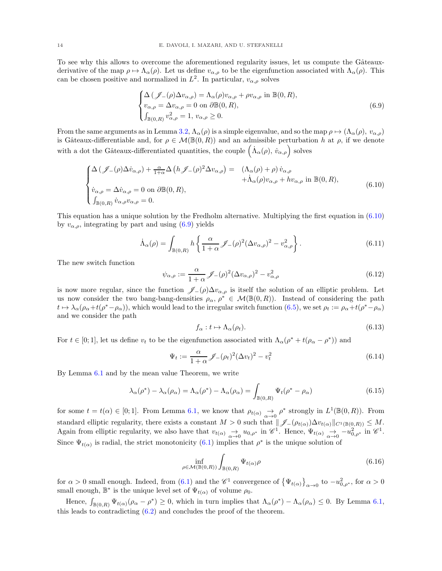To see why this allows to overcome the aforementioned regularity issues, let us compute the Gâteauxderivative of the map  $\rho \mapsto \Lambda_\alpha(\rho)$ . Let us define  $v_{\alpha,\rho}$  to be the eigenfunction associated with  $\Lambda_\alpha(\rho)$ . This can be chosen positive and normalized in  $L^2$ . In particular,  $v_{\alpha,\rho}$  solves

<span id="page-13-1"></span>
$$
\begin{cases}\n\Delta \left( \mathcal{J}_{-}(\rho) \Delta v_{\alpha,\rho} \right) = \Lambda_{\alpha}(\rho) v_{\alpha,\rho} + \rho v_{\alpha,\rho} \text{ in } \mathbb{B}(0, R), \\
v_{\alpha,\rho} = \Delta v_{\alpha,\rho} = 0 \text{ on } \partial \mathbb{B}(0, R), \\
\int_{\mathbb{B}(0,R)} v_{\alpha,\rho}^2 = 1, \ v_{\alpha,\rho} \ge 0.\n\end{cases}
$$
\n(6.9)

From the same arguments as in Lemma 3.2,  $\Lambda_{\alpha}(\rho)$  is a simple eigenvalue, and so the map  $\rho \mapsto (\Lambda_{\alpha}(\rho), v_{\alpha,\rho})$ is Gâteaux-differentiable and, for  $\rho \in \mathcal{M}(\mathbb{B}(0,R))$  and an admissible perturbation h at  $\rho$ , if we denote with a dot the Gâteaux-differentiated quantities, the couple  $(\dot{\Lambda}_{\alpha}(\rho), \dot{v}_{\alpha,\rho})$  solves

<span id="page-13-0"></span>
$$
\begin{cases}\n\Delta \left( \mathcal{J}_{-}(\rho) \Delta \dot{v}_{\alpha,\rho} \right) + \frac{\alpha}{1+\alpha} \Delta \left( h \mathcal{J}_{-}(\rho)^2 \Delta v_{\alpha,\rho} \right) = & \left( \Lambda_{\alpha}(\rho) + \rho \right) \dot{v}_{\alpha,\rho} \\
+ \dot{\Lambda}_{\alpha}(\rho) v_{\alpha,\rho} + h v_{\alpha,\rho} & \text{in } \mathbb{B}(0, R), \\
\dot{v}_{\alpha,\rho} = \Delta \dot{v}_{\alpha,\rho} = 0 & \text{on } \partial \mathbb{B}(0, R), \\
\int_{\mathbb{B}(0,R)} \dot{v}_{\alpha,\rho} v_{\alpha,\rho} = 0.\n\end{cases} \tag{6.10}
$$

This equation has a unique solution by the Fredholm alternative. Multiplying the first equation in [\(6.10\)](#page-13-0) by  $v_{\alpha,\rho}$ , integrating by part and using [\(6.9\)](#page-13-1) yields

$$
\dot{\Lambda}_{\alpha}(\rho) = \int_{\mathbb{B}(0,R)} h \left\{ \frac{\alpha}{1+\alpha} \mathcal{J}_{-}(\rho)^2 (\Delta v_{\alpha,\rho})^2 - v_{\alpha,\rho}^2 \right\}.
$$
\n(6.11)

The new switch function

$$
\psi_{\alpha,\rho} := \frac{\alpha}{1+\alpha} \mathcal{J}_-(\rho)^2 (\Delta v_{\alpha,\rho})^2 - v_{\alpha,\rho}^2 \tag{6.12}
$$

is now more regular, since the function  $\mathscr{J}_-(\rho)\Delta v_{\alpha,\rho}$  is itself the solution of an elliptic problem. Let us now consider the two bang-bang-densities  $\rho_{\alpha}, \rho^* \in \mathcal{M}(\mathbb{B}(0,R))$ . Instead of considering the path  $t \mapsto \lambda_\alpha(\rho_\alpha+t(\rho^*-\rho_\alpha))$ , which would lead to the irregular switch function  $(6.5)$ , we set  $\rho_t := \rho_\alpha+t(\rho^*-\rho_\alpha)$ and we consider the path

$$
f_{\alpha}: t \mapsto \Lambda_{\alpha}(\rho_t). \tag{6.13}
$$

For  $t \in [0, 1]$ , let us define  $v_t$  to be the eigenfunction associated with  $\Lambda_{\alpha}(\rho^* + t(\rho_{\alpha} - \rho^*))$  and

$$
\Psi_t := \frac{\alpha}{1+\alpha} \mathcal{J}_-(\rho_t)^2 (\Delta v_t)^2 - v_t^2 \tag{6.14}
$$

By Lemma [6.1](#page-11-2) and by the mean value Theorem, we write

$$
\lambda_{\alpha}(\rho^*) - \lambda_{\alpha}(\rho_{\alpha}) = \Lambda_{\alpha}(\rho^*) - \Lambda_{\alpha}(\rho_{\alpha}) = \int_{\mathbb{B}(0,R)} \Psi_t(\rho^* - \rho_{\alpha})
$$
\n(6.15)

for some  $t = t(\alpha) \in [0, 1]$ . From Lemma [6.1,](#page-11-2) we know that  $\rho_{t(\alpha)} \underset{\alpha \to 0}{\to} \rho^*$  strongly in  $L^1(\mathbb{B}(0, R))$ . From standard elliptic regularity, there exists a constant  $M > 0$  such that  $\|\mathscr{J}_-(\rho_{t(\alpha)})\Delta v_{t(\alpha)}\|_{C^1(\mathbb{B}(0,R))} \leq M$ . Again from elliptic regularity, we also have that  $v_{t(\alpha)} \underset{\alpha \to 0}{\to} u_{0,\rho^*}$  in  $\mathscr{C}^1$ . Hence,  $\Psi_{t(\alpha)} \underset{\alpha \to 0}{\to} -u_{0,\rho^*}^2$  in  $\mathscr{C}^1$ . Since  $\Psi_{t(\alpha)}$  is radial, the strict monotonicity [\(6.1\)](#page-11-4) implies that  $\rho^*$  is the unique solution of

$$
\inf_{\rho \in \mathcal{M}(\mathbb{B}(0,R))} \int_{\mathbb{B}(0,R)} \Psi_{t(\alpha)} \rho \tag{6.16}
$$

for  $\alpha > 0$  small enough. Indeed, from [\(6.1\)](#page-11-4) and the  $\mathscr{C}^1$  convergence of  $\{\Psi_{t(\alpha)}\}_{\alpha \to 0}$  to  $-u_{0,\rho^*}^2$ , for  $\alpha > 0$ small enough,  $\mathbb{B}^*$  is the unique level set of  $\Psi_{t(\alpha)}$  of volume  $\rho_0$ .

Hence,  $\int_{\mathbb{B}(0,R)} \Psi_{t(\alpha)}(\rho_\alpha - \rho^*) \geq 0$ , which in turn implies that  $\Lambda_\alpha(\rho^*) - \Lambda_\alpha(\rho_\alpha) \leq 0$ . By Lemma [6.1,](#page-11-2) this leads to contradicting [\(6.2\)](#page-11-3) and concludes the proof of the theorem.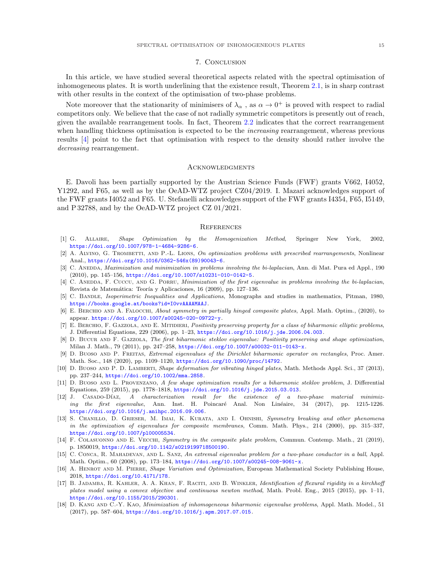### 7. Conclusion

<span id="page-14-14"></span>In this article, we have studied several theoretical aspects related with the spectral optimisation of inhomogeneous plates. It is worth underlining that the existence result, Theorem [2.1,](#page-2-0) is in sharp contrast with other results in the context of the optimisation of two-phase problems.

Note moreover that the stationarity of minimisers of  $\lambda_{\alpha}$ , as  $\alpha \to 0^+$  is proved with respect to radial competitors only. We believe that the case of not radially symmetric competitors is presently out of reach, given the available rearrangement tools. In fact, Theorem [2.2](#page-3-0) indicates that the correct rearrangement when handling thickness optimisation is expected to be the *increasing* rearrangement, whereas previous results [\[4\]](#page-14-1) point to the fact that optimisation with respect to the density should rather involve the decreasing rearrangement.

### **ACKNOWLEDGMENTS**

E. Davoli has been partially supported by the Austrian Science Funds (FWF) grants V662, I4052, Y1292, and F65, as well as by the OeAD-WTZ project CZ04/2019. I. Mazari acknowledges support of the FWF grants I4052 and F65. U. Stefanelli acknowledges support of the FWF grants I4354, F65, I5149, and P 32788, and by the OeAD-WTZ project CZ 01/2021.

### **REFERENCES**

- <span id="page-14-15"></span>[1] G. Allaire, Shape Optimization by the Homogenization Method, Springer New York, 2002, <https://doi.org/10.1007/978-1-4684-9286-6>.
- <span id="page-14-12"></span>[2] A. ALVINO, G. TROMBETTI, AND P.-L. LIONS, On optimization problems with prescribed rearrangements, Nonlinear Anal., [https://doi.org/10.1016/0362-546x\(89\)90043-6](https://doi.org/10.1016/0362-546x(89)90043-6).
- <span id="page-14-0"></span>[3] C. ANEDDA, *Maximization and minimization in problems involving the bi-laplacian*, Ann. di Mat. Pura ed Appl., 190  $(2010)$ , pp. 145–156, <https://doi.org/10.1007/s10231-010-0142-5>.
- <span id="page-14-1"></span>[4] C. ANEDDA, F. CUCCU, AND G. PORRU, Minimization of the first eigenvalue in problems involving the bi-laplacian, Revista de Matemática: Teoría y Aplicaciones, 16 (2009), pp. 127-136.
- <span id="page-14-18"></span>[5] C. BANDLE, Isoperimetric Inequalities and Applications, Monographs and studies in mathematics, Pitman, 1980, <https://books.google.at/books?id=I0vvAAAAMAAJ>.
- <span id="page-14-2"></span>[6] E. BERCHIO AND A. FALOCCHI, About symmetry in partially hinged composite plates, Appl. Math. Optim., (2020), to appear. <https://doi.org/10.1007/s00245-020-09722-y>.
- <span id="page-14-16"></span>[7] E. BERCHIO, F. GAZZOLA, AND E. MITIDIERI, Positivity preserving property for a class of biharmonic elliptic problems, J. Differential Equations, 229 (2006), pp. 1–23, <https://doi.org/10.1016/j.jde.2006.04.003>.
- <span id="page-14-3"></span>[8] D. BUCUR AND F. GAZZOLA, The first biharmonic steklov eigenvalue: Positivity preserving and shape optimization, Milan J. Math., 79 (2011), pp. 247–258, <https://doi.org/10.1007/s00032-011-0143-x>.
- <span id="page-14-4"></span>[9] D. Buoso and P. Freitas, Extremal eigenvalues of the Dirichlet biharmonic operator on rectangles, Proc. Amer. Math. Soc., 148 (2020), pp. 1109–1120, <https://doi.org/10.1090/proc/14792>.
- <span id="page-14-5"></span>[10] D. BUOSO AND P. D. LAMBERTI, Shape deformation for vibrating hinged plates, Math. Methods Appl. Sci., 37 (2013), pp. 237–244, <https://doi.org/10.1002/mma.2858>.
- <span id="page-14-6"></span>[11] D. Buoso and L. Provenzano, A few shape optimization results for a biharmonic steklov problem, J. Differential Equations, 259 (2015), pp. 1778–1818, <https://doi.org/10.1016/j.jde.2015.03.013>.
- <span id="page-14-11"></span>[12] J. CASADO-DÍAZ, A characterization result for the existence of a two-phase material minimizing the first eigenvalue, Ann. Inst. H. Poincaré Anal. Non Linéaire, 34 (2017), pp. 1215-1226. <https://doi.org/10.1016/j.anihpc.2016.09.006>.
- <span id="page-14-10"></span>[13] S. CHANILLO, D. GRIESER, M. IMAI, K. KURATA, AND I. OHNISHI, Symmetry breaking and other phenomena in the optimization of eigenvalues for composite membranes, Comm. Math. Phys., 214 (2000), pp. 315–337, <https://doi.org/10.1007/pl00005534>.
- <span id="page-14-7"></span>[14] F. COLASUONNO AND E. VECCHI, Symmetry in the composite plate problem, Commun. Contemp. Math., 21 (2019), p. 1850019, <https://doi.org/10.1142/s0219199718500190>.
- <span id="page-14-13"></span>[15] C. CONCA, R. MAHADEVAN, AND L. SANZ, An extremal eigenvalue problem for a two-phase conductor in a ball, Appl. Math. Optim., 60 (2008), pp. 173–184, <https://doi.org/10.1007/s00245-008-9061-x>.
- <span id="page-14-17"></span>[16] A. HENROT AND M. PIERRE, Shape Variation and Optimization, European Mathematical Society Publishing House, 2018, <https://doi.org/10.4171/178>.
- <span id="page-14-9"></span>[17] B. JADAMBA, R. KAHLER, A. A. KHAN, F. RACITI, AND B. WINKLER, Identification of flexural rigidity in a kirchhoff plates model using a convex objective and continuous newton method, Math. Probl. Eng., 2015 (2015), pp. 1–11, <https://doi.org/10.1155/2015/290301>.
- <span id="page-14-8"></span>[18] D. KANG AND C.-Y. KAO, Minimization of inhomogeneous biharmonic eigenvalue problems, Appl. Math. Model., 51 (2017), pp. 587–604, <https://doi.org/10.1016/j.apm.2017.07.015>.